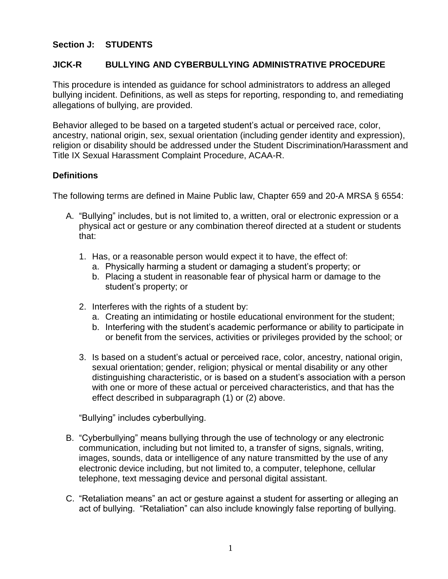## **Section J: STUDENTS**

#### **JICK-R BULLYING AND CYBERBULLYING ADMINISTRATIVE PROCEDURE**

This procedure is intended as guidance for school administrators to address an alleged bullying incident. Definitions, as well as steps for reporting, responding to, and remediating allegations of bullying, are provided.

Behavior alleged to be based on a targeted student's actual or perceived race, color, ancestry, national origin, sex, sexual orientation (including gender identity and expression), religion or disability should be addressed under the Student Discrimination/Harassment and Title IX Sexual Harassment Complaint Procedure, ACAA-R.

## **Definitions**

The following terms are defined in Maine Public law, Chapter 659 and 20-A MRSA § 6554:

- A. "Bullying" includes, but is not limited to, a written, oral or electronic expression or a physical act or gesture or any combination thereof directed at a student or students that:
	- 1. Has, or a reasonable person would expect it to have, the effect of:
		- a. Physically harming a student or damaging a student's property; or
		- b. Placing a student in reasonable fear of physical harm or damage to the student's property; or
	- 2. Interferes with the rights of a student by:
		- a. Creating an intimidating or hostile educational environment for the student;
		- b. Interfering with the student's academic performance or ability to participate in or benefit from the services, activities or privileges provided by the school; or
	- 3. Is based on a student's actual or perceived race, color, ancestry, national origin, sexual orientation; gender, religion; physical or mental disability or any other distinguishing characteristic, or is based on a student's association with a person with one or more of these actual or perceived characteristics, and that has the effect described in subparagraph (1) or (2) above.

"Bullying" includes cyberbullying.

- B. "Cyberbullying" means bullying through the use of technology or any electronic communication, including but not limited to, a transfer of signs, signals, writing, images, sounds, data or intelligence of any nature transmitted by the use of any electronic device including, but not limited to, a computer, telephone, cellular telephone, text messaging device and personal digital assistant.
- C. "Retaliation means" an act or gesture against a student for asserting or alleging an act of bullying. "Retaliation" can also include knowingly false reporting of bullying.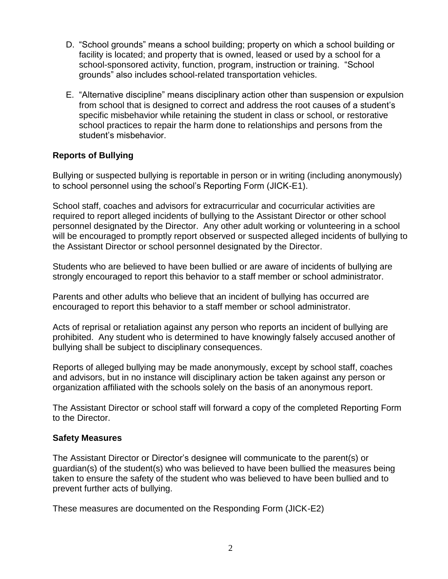- D. "School grounds" means a school building; property on which a school building or facility is located; and property that is owned, leased or used by a school for a school-sponsored activity, function, program, instruction or training. "School grounds" also includes school-related transportation vehicles.
- E. "Alternative discipline" means disciplinary action other than suspension or expulsion from school that is designed to correct and address the root causes of a student's specific misbehavior while retaining the student in class or school, or restorative school practices to repair the harm done to relationships and persons from the student's misbehavior.

## **Reports of Bullying**

Bullying or suspected bullying is reportable in person or in writing (including anonymously) to school personnel using the school's Reporting Form (JICK-E1).

School staff, coaches and advisors for extracurricular and cocurricular activities are required to report alleged incidents of bullying to the Assistant Director or other school personnel designated by the Director. Any other adult working or volunteering in a school will be encouraged to promptly report observed or suspected alleged incidents of bullying to the Assistant Director or school personnel designated by the Director.

Students who are believed to have been bullied or are aware of incidents of bullying are strongly encouraged to report this behavior to a staff member or school administrator.

Parents and other adults who believe that an incident of bullying has occurred are encouraged to report this behavior to a staff member or school administrator.

Acts of reprisal or retaliation against any person who reports an incident of bullying are prohibited. Any student who is determined to have knowingly falsely accused another of bullying shall be subject to disciplinary consequences.

Reports of alleged bullying may be made anonymously, except by school staff, coaches and advisors, but in no instance will disciplinary action be taken against any person or organization affiliated with the schools solely on the basis of an anonymous report.

The Assistant Director or school staff will forward a copy of the completed Reporting Form to the Director.

#### **Safety Measures**

The Assistant Director or Director's designee will communicate to the parent(s) or guardian(s) of the student(s) who was believed to have been bullied the measures being taken to ensure the safety of the student who was believed to have been bullied and to prevent further acts of bullying.

These measures are documented on the Responding Form (JICK-E2)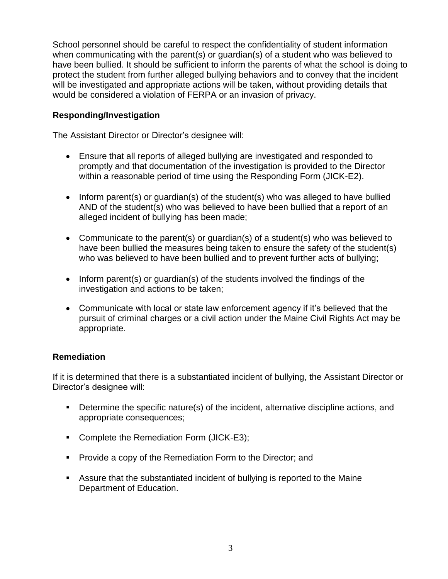School personnel should be careful to respect the confidentiality of student information when communicating with the parent(s) or guardian(s) of a student who was believed to have been bullied. It should be sufficient to inform the parents of what the school is doing to protect the student from further alleged bullying behaviors and to convey that the incident will be investigated and appropriate actions will be taken, without providing details that would be considered a violation of FERPA or an invasion of privacy.

## **Responding/Investigation**

The Assistant Director or Director's designee will:

- Ensure that all reports of alleged bullying are investigated and responded to promptly and that documentation of the investigation is provided to the Director within a reasonable period of time using the Responding Form (JICK-E2).
- Inform parent(s) or quardian(s) of the student(s) who was alleged to have bullied AND of the student(s) who was believed to have been bullied that a report of an alleged incident of bullying has been made;
- Communicate to the parent(s) or guardian(s) of a student(s) who was believed to have been bullied the measures being taken to ensure the safety of the student(s) who was believed to have been bullied and to prevent further acts of bullying;
- Inform parent(s) or quardian(s) of the students involved the findings of the investigation and actions to be taken;
- Communicate with local or state law enforcement agency if it's believed that the pursuit of criminal charges or a civil action under the Maine Civil Rights Act may be appropriate.

#### **Remediation**

If it is determined that there is a substantiated incident of bullying, the Assistant Director or Director's designee will:

- Determine the specific nature(s) of the incident, alternative discipline actions, and appropriate consequences;
- Complete the Remediation Form (JICK-E3);
- **Provide a copy of the Remediation Form to the Director; and**
- Assure that the substantiated incident of bullying is reported to the Maine Department of Education.